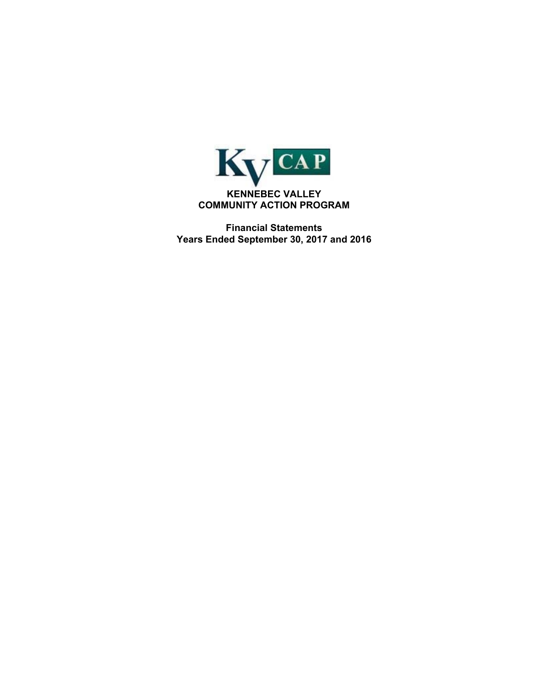

**Financial Statements Years Ended September 30, 2017 and 2016**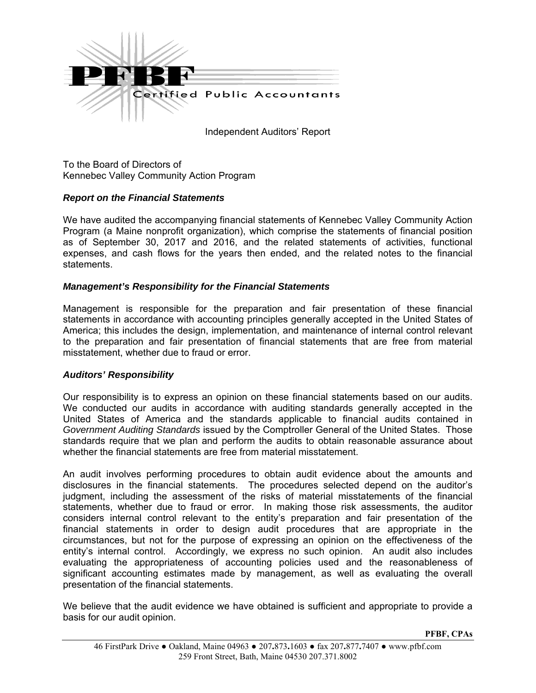

Independent Auditors' Report

To the Board of Directors of Kennebec Valley Community Action Program

# *Report on the Financial Statements*

We have audited the accompanying financial statements of Kennebec Valley Community Action Program (a Maine nonprofit organization), which comprise the statements of financial position as of September 30, 2017 and 2016, and the related statements of activities, functional expenses, and cash flows for the years then ended, and the related notes to the financial statements.

# *Management's Responsibility for the Financial Statements*

Management is responsible for the preparation and fair presentation of these financial statements in accordance with accounting principles generally accepted in the United States of America; this includes the design, implementation, and maintenance of internal control relevant to the preparation and fair presentation of financial statements that are free from material misstatement, whether due to fraud or error.

# *Auditors' Responsibility*

Our responsibility is to express an opinion on these financial statements based on our audits. We conducted our audits in accordance with auditing standards generally accepted in the United States of America and the standards applicable to financial audits contained in *Government Auditing Standards* issued by the Comptroller General of the United States. Those standards require that we plan and perform the audits to obtain reasonable assurance about whether the financial statements are free from material misstatement.

An audit involves performing procedures to obtain audit evidence about the amounts and disclosures in the financial statements. The procedures selected depend on the auditor's judgment, including the assessment of the risks of material misstatements of the financial statements, whether due to fraud or error. In making those risk assessments, the auditor considers internal control relevant to the entity's preparation and fair presentation of the financial statements in order to design audit procedures that are appropriate in the circumstances, but not for the purpose of expressing an opinion on the effectiveness of the entity's internal control. Accordingly, we express no such opinion. An audit also includes evaluating the appropriateness of accounting policies used and the reasonableness of significant accounting estimates made by management, as well as evaluating the overall presentation of the financial statements.

We believe that the audit evidence we have obtained is sufficient and appropriate to provide a basis for our audit opinion.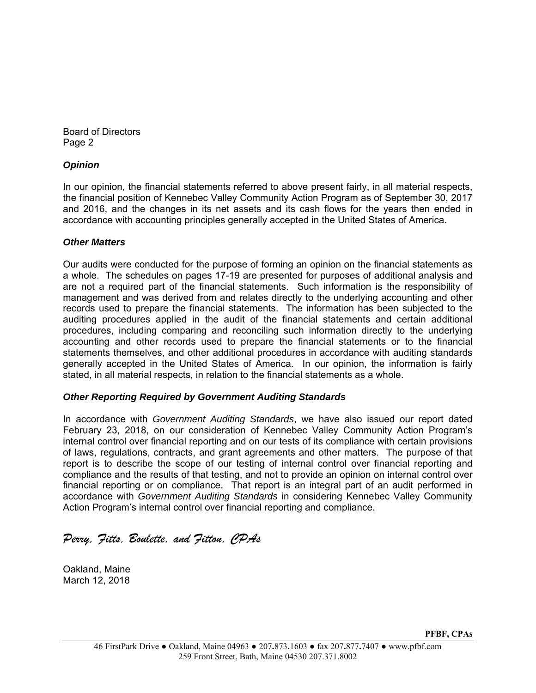Board of Directors Page 2

# *Opinion*

In our opinion, the financial statements referred to above present fairly, in all material respects, the financial position of Kennebec Valley Community Action Program as of September 30, 2017 and 2016, and the changes in its net assets and its cash flows for the years then ended in accordance with accounting principles generally accepted in the United States of America.

# *Other Matters*

Our audits were conducted for the purpose of forming an opinion on the financial statements as a whole. The schedules on pages 17-19 are presented for purposes of additional analysis and are not a required part of the financial statements. Such information is the responsibility of management and was derived from and relates directly to the underlying accounting and other records used to prepare the financial statements. The information has been subjected to the auditing procedures applied in the audit of the financial statements and certain additional procedures, including comparing and reconciling such information directly to the underlying accounting and other records used to prepare the financial statements or to the financial statements themselves, and other additional procedures in accordance with auditing standards generally accepted in the United States of America. In our opinion, the information is fairly stated, in all material respects, in relation to the financial statements as a whole.

# *Other Reporting Required by Government Auditing Standards*

In accordance with *Government Auditing Standards*, we have also issued our report dated February 23, 2018, on our consideration of Kennebec Valley Community Action Program's internal control over financial reporting and on our tests of its compliance with certain provisions of laws, regulations, contracts, and grant agreements and other matters. The purpose of that report is to describe the scope of our testing of internal control over financial reporting and compliance and the results of that testing, and not to provide an opinion on internal control over financial reporting or on compliance. That report is an integral part of an audit performed in accordance with *Government Auditing Standards* in considering Kennebec Valley Community Action Program's internal control over financial reporting and compliance.

*Perry, Fitts, Boulette, and Fitton, CPAs*

Oakland, Maine March 12, 2018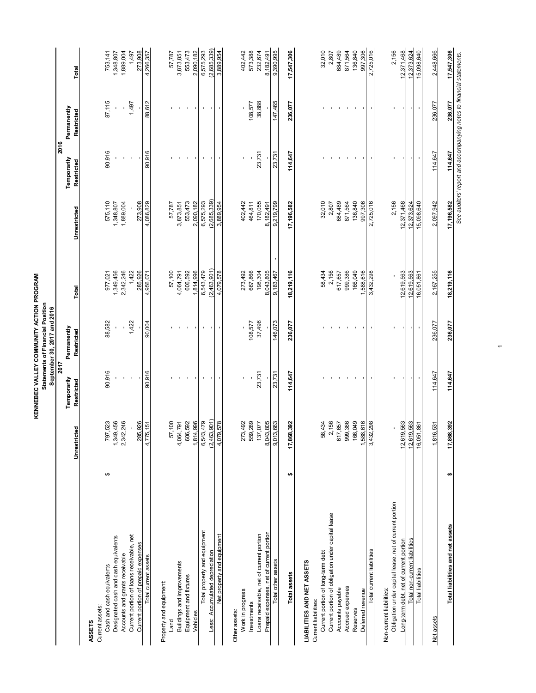|                                                        |   |                   |                           | Statements of Financial Position<br>September 30, 2017 and 2016 |             |              |                           |                           |             |
|--------------------------------------------------------|---|-------------------|---------------------------|-----------------------------------------------------------------|-------------|--------------|---------------------------|---------------------------|-------------|
|                                                        |   |                   | 2017                      |                                                                 |             |              | 2016                      |                           |             |
|                                                        |   | Unrestricted      | Temporarily<br>Restricted | Permanently<br>Restricted                                       | Total       | Unrestricted | Temporarily<br>Restricted | Permanently<br>Restricted | Total       |
| <b>ASSETS</b>                                          |   |                   |                           |                                                                 |             |              |                           |                           |             |
| Current assets:                                        |   |                   |                           |                                                                 |             |              |                           |                           |             |
| Cash and cash equivalents                              | ↮ | .523<br>797       | 90,916                    | 88,582                                                          | 977,021     | 575,110      | 90,916                    | 87,115                    | 753, 141    |
| Designated cash and cash equivalents                   |   | 456<br>1,349,     |                           |                                                                 | 1,349,456   | 1,348,807    |                           |                           | 1,348,807   |
| Accounts and grants receivable                         |   | ,246<br>2,342     | $\blacksquare$            |                                                                 | 2,342,246   | 1,889,004    |                           |                           | 1,889,004   |
| Current portion of loans receivable, net               |   | ï                 | $\blacksquare$            | 1,422                                                           | 1,422       |              |                           | 1,497                     | 1,497       |
| Current portion of prepaid expenses                    |   | 285,926           |                           |                                                                 | 285,926     | 273,908      |                           |                           | 273,908     |
| Total current assets                                   |   | 4,775,151         | 90.916                    | 90.004                                                          | 4,956,071   | 4,086,829    | 90,916                    | 88,612                    | 4,266,357   |
| Property and equipment:                                |   |                   |                           |                                                                 |             |              |                           |                           |             |
| Land                                                   |   | 57,100            |                           |                                                                 | 57,100      | 57,787       |                           |                           | 57,787      |
| Buildings and improvements                             |   | 4,064,791         |                           |                                                                 | 4,064,791   | 3,873,851    |                           | $\overline{\phantom{a}}$  | 3,873,851   |
| Equipment and fixtures                                 |   | ,592<br>606       | $\mathbf{r}$              |                                                                 | 606,592     | 553,473      |                           | $\mathbf{r}$              | 553,473     |
| Vehicles                                               |   | 1,814,996         |                           |                                                                 | 1,814,996   | 2,090,182    |                           |                           | 2,090,182   |
| Total property and equipment                           |   | ,479<br>6,543,    | $\blacksquare$            |                                                                 | 6,543,479   | 6,575,293    | ٠                         | ٠                         | 6,575,293   |
| Less: Accumulated depreciation                         |   | $-901$<br>(2,463) |                           |                                                                 | (2,463,901) | (2,685,339)  |                           | ٠                         | (2,685,339) |
| Net property and equipment                             |   | 578<br>4,079,     | $\blacksquare$            |                                                                 | 4,079,578   | 3,889,954    |                           | ,                         | 3,889,954   |
| Other assets:                                          |   |                   |                           |                                                                 |             |              |                           |                           |             |
| Work in progress                                       |   | 273,492           |                           |                                                                 | 273,492     | 402,442      |                           |                           | 402,442     |
| Investments                                            |   | .289<br>559       |                           | 108,577                                                         | 667,866     | 464,811      |                           | 108,577                   | 573,388     |
| Loans receivable, net of current portion               |   | .077<br>137       | 23,731                    | 37,496                                                          | 198,304     | 170,055      | 23,731                    | 38,888                    | 232,674     |
| Prepaid expenses, net of current portion               |   | 805<br>8,043      |                           |                                                                 | 8,043,805   | 8,182,491    |                           |                           | 8,182,491   |
| Total other assets                                     |   | ,663<br>9,013     | 23,731                    | 146,073                                                         | 9,183,467   | 9,219,799    | 23,731                    | 147,465                   | 9,390,995   |
| Total assets                                           | ₩ | 392<br>17,868     | 114,647                   | 236,077                                                         | 18,219,116  | 17,196,582   | 114,647                   | 236,077                   | 17,547,306  |
| LIABILITIES AND NET ASSETS                             |   |                   |                           |                                                                 |             |              |                           |                           |             |
| Current liabilities:                                   |   |                   |                           |                                                                 |             |              |                           |                           |             |
| Current portion of long-term debt                      |   | 58,434            |                           |                                                                 | 58,434      | 32,010       |                           |                           | 32,010      |
| Current portion of obligation under capital lease      |   | 2,156             |                           |                                                                 | 2,156       | 2,807        |                           |                           | 2,807       |
| Accounts payable                                       |   | 617,657           | $\blacksquare$            |                                                                 | 617,657     | 684,489      |                           | $\blacksquare$            | 684,489     |
| Accrued expenses                                       |   | ,386<br>999       |                           |                                                                 | 999,386     | 871,564      |                           |                           | 871,564     |
| Reserves                                               |   | ,049<br>166       |                           |                                                                 | 166,049     | 136,840      |                           | $\mathbf{I}$              | 136,840     |
| Deferred revenue                                       |   | ,616<br>1,588,    |                           |                                                                 | 1,588,616   | 997,306      |                           |                           | 997,306     |
| Total current liabilities                              |   | ,298<br>3,432     |                           |                                                                 | 3,432,298   | 2,725,016    |                           |                           | 2,725,016   |
| Non-current liabilities:                               |   |                   |                           |                                                                 |             |              |                           |                           |             |
| Obligation under capital lease, net of current portion |   | $\blacksquare$    |                           |                                                                 |             | 2,156        |                           |                           | 2,156       |
| Long-term debt, net of current portion                 |   | ,563<br>12,619    |                           |                                                                 | 12,619,563  | 12,371,468   |                           |                           | 12,371,468  |
| Total non-current liabilities                          |   | ,563<br>12,619,   | $\blacksquare$            |                                                                 | 12,619,563  | 12,373,624   | $\mathbf{r}$              | $\blacksquare$            | 12,373,624  |
| Total liabilities                                      |   | ,861<br>16,051,   | $\blacksquare$            |                                                                 | 16,051,861  | 15,098,640   | ×                         | J.                        | 15,098,640  |
| Net assets                                             |   | 1,531<br>1,816,   | 114,647                   | 236,077                                                         | 2,167,255   | 2,097,942    | 114,647                   | 236,077                   | 2,448,666   |
|                                                        |   |                   |                           |                                                                 |             |              |                           |                           |             |

KENNEBEC VALLEY COMMUNITY ACTION PROGRAM **KENNEBEC VALLEY COMMUNITY ACTION PROGRAM**

 $\leftarrow$ 

# 17,196,582 14,647 236,077 17,547,306<br>See auditors' report and accompanying notes to financial statements. *See auditors' report and accompanying notes to financial statements.*

**Total liabilities and net assets \$ 17,868,392 114,647 236,077 18,219,116 17,196,582 114,647 236,077 17,547,306**

236,077

114,647

17,868,392

 $\bullet$ 

Total liabilities and net assets

 $\mathbf l$ 

18,219,116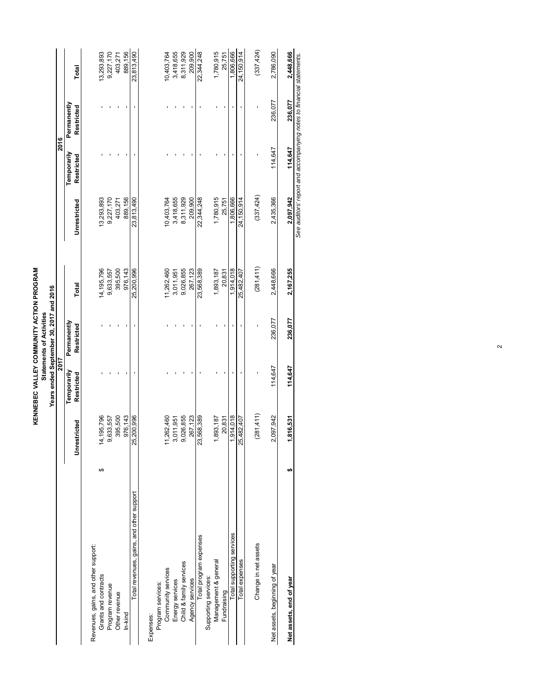**KENNEBEC VALLEY COMMUNITY ACTION PROGRAM**<br>Statements of Activities **KENNEBEC VALLEY COMMUNITY ACTION PROGRAM Statements of Activities**

|                                          |   |              |             | Years ended September 30, 2017 and 2016 |            |              |             |                                                                      |            |
|------------------------------------------|---|--------------|-------------|-----------------------------------------|------------|--------------|-------------|----------------------------------------------------------------------|------------|
|                                          |   |              | 2017        |                                         |            |              | 2016        |                                                                      |            |
|                                          |   |              | Temporarily | Permanently                             |            |              | Temporarily | Permanently                                                          |            |
|                                          |   | Unrestricted | Restricted  | Restricted                              | Total      | Unrestricted | Restricted  | Restricted                                                           | Total      |
| Revenues, gains, and other support:      |   |              |             |                                         |            |              |             |                                                                      |            |
| Grants and contracts                     | ↮ | 14,195,796   |             |                                         | 14,195,796 | 13,293,893   |             |                                                                      | 13,293,893 |
| Program revenue                          |   | 9,633,557    |             |                                         | 9,633,557  | 9,227,170    |             |                                                                      | 9,227,170  |
| Other revenue                            |   | 395,500      |             |                                         | 395,500    | 403,271      |             |                                                                      | 403,271    |
| In-kind                                  |   | 976,143      |             |                                         | 976.143    | 889.156      |             |                                                                      | 889,156    |
| Total revenues, gains, and other support |   | 25,200,996   |             |                                         | 25,200,996 | 23,813,490   |             |                                                                      | 23,813,490 |
| Expenses:                                |   |              |             |                                         |            |              |             |                                                                      |            |
| Program services:                        |   |              |             |                                         |            |              |             |                                                                      |            |
| Community services                       |   | 1,262,460    |             |                                         | 11,262,460 | 10,403,764   |             |                                                                      | 10,403,764 |
| Energy services                          |   | 3,011,951    |             |                                         | 3,011,951  | 3,418,655    |             |                                                                      | 3,418,655  |
| Child & family services                  |   | 9,026,855    |             |                                         | 9,026,855  | 8,311,929    |             |                                                                      | 8,311,929  |
| Agency services                          |   | 267,123      |             |                                         | 267,123    | 209,900      |             |                                                                      | 209,900    |
| Total program expenses                   |   | 23,568,389   |             |                                         | 23,568,389 | 22,344,248   |             |                                                                      | 22,344,248 |
| Supporting services:                     |   |              |             |                                         |            |              |             |                                                                      |            |
| Management & general                     |   | 1,893,187    |             |                                         | 1,893,187  | 1,780,915    |             |                                                                      | 1,780,915  |
| Fundraising                              |   | 20,831       |             |                                         | 20,831     | 25,751       |             |                                                                      | 25,751     |
| Total supporting services                |   | 1,914,018    |             |                                         | 1,914,018  | 1,806,666    |             |                                                                      | 1,806,666  |
| Total expenses                           |   | 25,482,407   |             |                                         | 25,482,407 | 24,150,914   |             |                                                                      | 24,150,914 |
| Change in net assets                     |   | (281, 411)   |             |                                         | (281, 411) | (337, 424)   |             |                                                                      | (337, 424) |
|                                          |   |              |             |                                         |            |              |             |                                                                      |            |
| Net assets, beginning of year            |   | 2,097,942    | 114,647     | 236,077                                 | 2,448,666  | 2,435,366    | 114,647     | 236,077                                                              | 2,786,090  |
| Net assets, end of year                  | H | 1,816,531    | 114,647     | 236,077                                 | 2,167,255  | 2,097,942    | 114,647     | 236,077                                                              | 2,448,666  |
|                                          |   |              |             |                                         |            |              |             | See auditors' report and accompanying notes to financial statements. |            |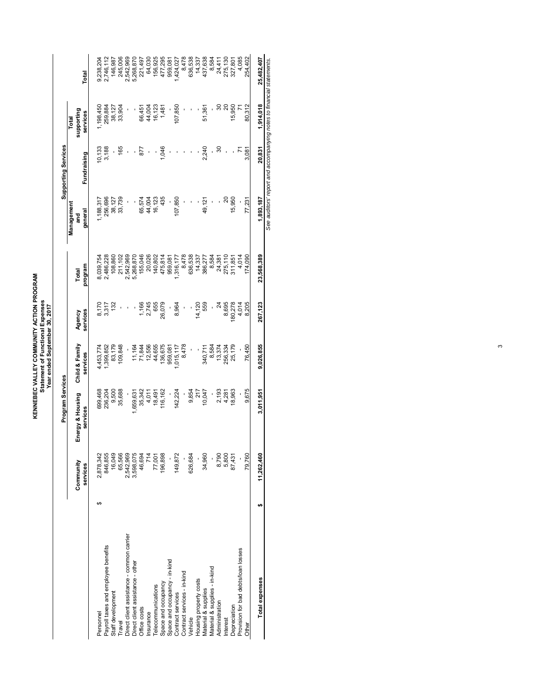KENNEBEC VALLEY COMMUNITY ACTION PROGRAM<br>Statement of Functional Expenses<br>Year ended September 30, 2017 **KENNEBEC VALLEY COMMUNITY ACTION PROGRAM Statement of Functional Expenses Year ended September 30, 2017**

|                                                |     |                       | Program Services             |                            |                    |                  |                | <b>Supporting Services</b>                                           |                        |            |
|------------------------------------------------|-----|-----------------------|------------------------------|----------------------------|--------------------|------------------|----------------|----------------------------------------------------------------------|------------------------|------------|
|                                                |     |                       |                              |                            |                    |                  | Management     |                                                                      | Total                  |            |
|                                                |     | Community<br>services | Energy & Housing<br>services | Child & Family<br>services | services<br>Agency | program<br>Total | general<br>ត្ត | Fundraising                                                          | supporting<br>services | Total      |
|                                                |     |                       |                              |                            |                    |                  |                |                                                                      |                        |            |
| Personnel                                      | ↮   | 2,878,342             | 699,468                      | 4,453,774                  |                    | 8,039,754        | 1,188,317      | 10,133                                                               | ,198,450               | 9,238,204  |
| Payroll taxes and employee benefits            |     | 846,855               | 236,204                      | ,399,852                   | 8,170<br>3,317     | 2,486,228        | 256,696        | 3,188                                                                | 259,884                | 2,746,112  |
| Staff development                              |     | 16,049                | 9,500                        | 83,179                     | 132                | 108,860          | 38,127         |                                                                      | 38,127                 | 146,987    |
| Travel                                         |     | 65,566                | 35,688                       | 109,848                    |                    | 211,102          | 33,739         | 165                                                                  | 33,904                 | 245,006    |
| Direct client assistance - common carrier      |     | 2,542,969             |                              |                            |                    | 2,542,969        |                | ı                                                                    | ı                      | 2,542,969  |
| Direct dient assistance - other                |     | 3,598,075             | ,659,63                      | 11,164                     |                    | 5,268,870        |                |                                                                      |                        | 5,268,870  |
| Office costs                                   |     | 46,694                | 35,342                       | 71,844                     |                    | 155,046          | 65,574         | 877                                                                  | 66,451                 | 221,497    |
| Insurance                                      |     | 714                   | 4,011                        | 12,556                     | $1,166$<br>2,745   | 20,026           | 44,004         | ı                                                                    | 44,004                 | 64,030     |
| <b><i><u><b>Telecommunications</b></u></i></b> |     | 77,001                | 18,491                       | 44,655                     | 655                | 140,802          | 16,123         |                                                                      | 16,123                 | 156,925    |
| Space and occupancy                            |     | 196,898               | 116,162                      | 136,675                    | 26,079             | 475,814          | 435            | 1,046                                                                | 1,481                  | 477,295    |
| Space and occupancy - in-kind                  |     |                       |                              | 959,08                     |                    | 959,081          | ı              |                                                                      |                        | 959,081    |
| Contract services                              |     | 149,872               | 142,224                      | ,015,117                   | 8,964              | ,316,177         | 107,850        |                                                                      | 107,850                | ,424,027   |
| Contract services - in-kind                    |     |                       |                              | 8,478                      |                    | 8,478            |                |                                                                      |                        | 8,478      |
| Vehicle                                        |     | 626,684               | 9,854                        | ı                          |                    | 636,538          |                |                                                                      |                        | 636,538    |
| Housing property costs                         |     |                       | 217                          |                            | 14,120             | 14,337           |                |                                                                      |                        | 14,337     |
| Material & supplies                            |     | 34,960                | 10,047                       | 340,71                     | 559                | 386,277          | 49,121         | 2,240                                                                | 51,361                 | 437,638    |
| Material & supplies - in-kind                  |     |                       |                              | 8,584                      | ,                  | 8,584            |                |                                                                      |                        | 8,584      |
| Administration                                 |     | 8,790                 | 2,193                        | 13,374                     | $\approx$          | 24,381           |                | ಜ                                                                    | వ్ల                    | 24,411     |
| Interest                                       |     | 5,800                 | 4,281                        | 256,334                    | 8,695              | 275,110          | <u>ର</u>       |                                                                      | 20                     | 275,130    |
| Depreciation                                   |     | 87,431                | 18,963                       | 25,179                     | 180,278            | 311,851          | 15,950         |                                                                      | 15,950                 | 327,801    |
| Provision for bad debts/loan losses            |     |                       |                              |                            | 4,014              | 4,014            |                |                                                                      |                        | 4,085      |
| Other                                          |     | 79.760                | 9,675                        | 76,450                     | 8,205              | 74,090           | 77,231         | 3.081                                                                | 80,312                 | 254,402    |
| Total expenses                                 | tA, | 11,262,460            | 3,011,951                    | 9,026,855                  | 267,123            | 23,568,389       | 1,893,187      | 20,831                                                               | 1,914,018              | 25,482,407 |
|                                                |     |                       |                              |                            |                    |                  |                | See auditors' report and accompanying notes to financial statements. |                        |            |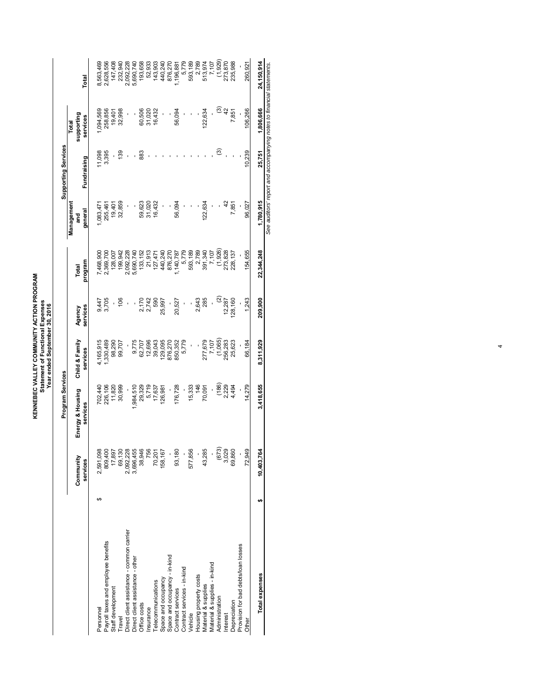|                                           |    |            | Program Services   |                |                |            |                   | Supporting Services                                                  |                     |            |
|-------------------------------------------|----|------------|--------------------|----------------|----------------|------------|-------------------|----------------------------------------------------------------------|---------------------|------------|
|                                           |    | Community  | Energy & Housing   | Child & Family | Agency         | Total      | Management<br>ត្ត |                                                                      | supporting<br>Total |            |
|                                           |    | services   | services           | services       | services       | program    | general           | Fundraising                                                          | services            | Total      |
| Personnel                                 | ↮  | 2,591,098  |                    | 4,165,915      | 9,447          | ,468,900   | ,083,47           | 11,098                                                               | 1,094,569           | 8,563,469  |
| Payroll taxes and employee benefits       |    | 809,400    | 702,440<br>226,106 | 1,330,489      | 3,705          | 2,369,700  | 255,46            | 3,395                                                                | 258,856             | 2,628,556  |
| Staff development                         |    | 17,897     | 11,820             | 98,290         |                | 128,007    | 19,401            | ı                                                                    | 19,401              | 147,408    |
| Travel                                    |    | 69,130     | 30,999             | 99,707         | 106            | 199,942    | 32,859            | 139                                                                  | 32,998              | 232,940    |
| Direct client assistance - common carrier |    | 2,092,228  |                    |                |                | 2,092,228  |                   |                                                                      |                     | 2,092,228  |
| Direct client assistance - other          |    | 3,696,455  | ,984,510           | 9,775          |                | 5,690,740  |                   |                                                                      |                     | 5,690,740  |
| Office costs                              |    | 38,946     | 29,329             | 62,707         | 2,170          | 133,152    | 59,623            | 883                                                                  | 60,506              | 193,658    |
| Insurance                                 |    | 756        | 5,719              | 12,696         | 2,742          | 21,913     | 31,020            |                                                                      | 31,020              | 52,933     |
| Telecommunications                        |    | 70,201     | 17,637             | 39,043         | 590            | 127,471    | 16,432            |                                                                      | 16,432              | 143,903    |
| Space and occupancy                       |    | 158,167    | 126,981            | 129,095        | 25,997         | 440,240    |                   |                                                                      |                     | 440,240    |
| Space and occupancy - in-kind             |    |            |                    | 876,270        |                | 876,270    |                   |                                                                      |                     | 876,270    |
| Contract services                         |    | 93,180     | 176,728            | 850,352        | 20,527         | 1,140,787  | 56,094            |                                                                      | 56,094              | 1,196,881  |
| Contract services - in-kind               |    |            |                    | 5,779          |                | 5,779      |                   |                                                                      |                     | 5,779      |
| Vehicle                                   |    | 577,856    | 15,333             |                |                | 593,189    |                   |                                                                      |                     | 593,189    |
| Housing property costs                    |    |            | 146                |                | 2,643          | 2,789      |                   |                                                                      |                     | 2,789      |
| Material & supplies                       |    | 43,285     | 70,091             | 277,679        | 285            | 391,340    | 122,634           |                                                                      | 122,634             | 513,974    |
| Material & supplies - in-kind             |    |            |                    | 7,107          |                | 7,107      |                   |                                                                      |                     | 7,107      |
| Administration                            |    | (673)      | (186)              | (1,065)        | $\mathfrak{D}$ | (1,926)    |                   | త                                                                    | ંજી                 | (1,929)    |
| Interest                                  |    | 3,029      | 2,229              | 256,283        | 12,287         | 273,828    | $\frac{2}{3}$     |                                                                      | 42                  | 273,870    |
| Depreciation                              |    | 69,860     | 4,494              | 25,623         | 128,160        | 228,137    | 7,851             |                                                                      | 7,851               | 235,988    |
| Provision for bad debts/loan losses       |    |            |                    |                |                |            |                   |                                                                      |                     |            |
| <b>other</b>                              |    | 72,949     | 14,279             | 66,184         | 1,243          | 54,655     | 96.027            | 10,239                                                               | 106,266             | 260,921    |
| <b>Total expenses</b>                     | tA | 10,403,764 | 3,418,655          | 8,311,929      | 209,900        | 22,344,248 | 1,780,915         | 25,751                                                               | 1,806,666           | 24,150,914 |
|                                           |    |            |                    |                |                |            |                   | See auditors' report and accompanying notes to financial statements. |                     |            |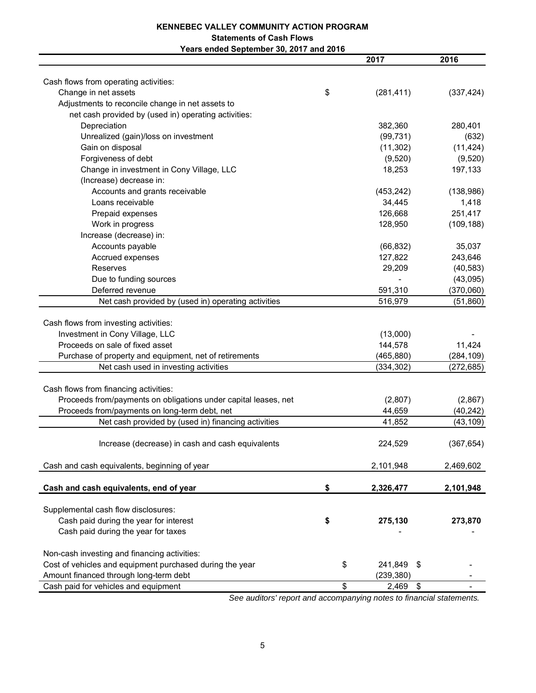#### **KENNEBEC VALLEY COMMUNITY ACTION PROGRAM Statements of Cash Flows Years ended September 30, 2017 and 2016**

|                                                                 | 2017                | 2016       |
|-----------------------------------------------------------------|---------------------|------------|
|                                                                 |                     |            |
| Cash flows from operating activities:                           |                     |            |
| Change in net assets                                            | \$<br>(281, 411)    | (337, 424) |
| Adjustments to reconcile change in net assets to                |                     |            |
| net cash provided by (used in) operating activities:            |                     |            |
| Depreciation                                                    | 382,360             | 280,401    |
| Unrealized (gain)/loss on investment                            | (99, 731)           | (632)      |
| Gain on disposal                                                | (11, 302)           | (11, 424)  |
| Forgiveness of debt                                             | (9,520)             | (9,520)    |
| Change in investment in Cony Village, LLC                       | 18,253              | 197,133    |
| (Increase) decrease in:                                         |                     |            |
| Accounts and grants receivable                                  | (453, 242)          | (138, 986) |
| Loans receivable                                                | 34,445              | 1,418      |
| Prepaid expenses                                                | 126,668             | 251,417    |
| Work in progress                                                | 128,950             | (109, 188) |
| Increase (decrease) in:                                         |                     |            |
| Accounts payable                                                | (66, 832)           | 35,037     |
| Accrued expenses                                                | 127,822             | 243,646    |
| Reserves                                                        | 29,209              | (40, 583)  |
| Due to funding sources                                          |                     | (43,095)   |
| Deferred revenue                                                | 591,310             | (370,060)  |
| Net cash provided by (used in) operating activities             | 516,979             | (51, 860)  |
|                                                                 |                     |            |
| Cash flows from investing activities:                           |                     |            |
| Investment in Cony Village, LLC                                 | (13,000)            |            |
| Proceeds on sale of fixed asset                                 | 144,578             | 11,424     |
| Purchase of property and equipment, net of retirements          | (465, 880)          | (284, 109) |
| Net cash used in investing activities                           | (334, 302)          | (272, 685) |
|                                                                 |                     |            |
| Cash flows from financing activities:                           |                     |            |
| Proceeds from/payments on obligations under capital leases, net | (2,807)             | (2,867)    |
| Proceeds from/payments on long-term debt, net                   | 44,659              | (40, 242)  |
| Net cash provided by (used in) financing activities             | 41,852              | (43, 109)  |
|                                                                 |                     |            |
| Increase (decrease) in cash and cash equivalents                | 224,529             | (367, 654) |
|                                                                 |                     |            |
| Cash and cash equivalents, beginning of year                    | 2,101,948           | 2,469,602  |
| Cash and cash equivalents, end of year                          | \$<br>2,326,477     | 2,101,948  |
|                                                                 |                     |            |
| Supplemental cash flow disclosures:                             |                     |            |
| Cash paid during the year for interest                          | \$<br>275,130       | 273,870    |
| Cash paid during the year for taxes                             |                     |            |
|                                                                 |                     |            |
| Non-cash investing and financing activities:                    |                     |            |
| Cost of vehicles and equipment purchased during the year        | \$<br>241,849<br>\$ |            |
| Amount financed through long-term debt                          | (239, 380)          |            |
| Cash paid for vehicles and equipment                            | \$<br>2,469<br>\$   |            |

*See auditors' report and accompanying notes to financial statements.*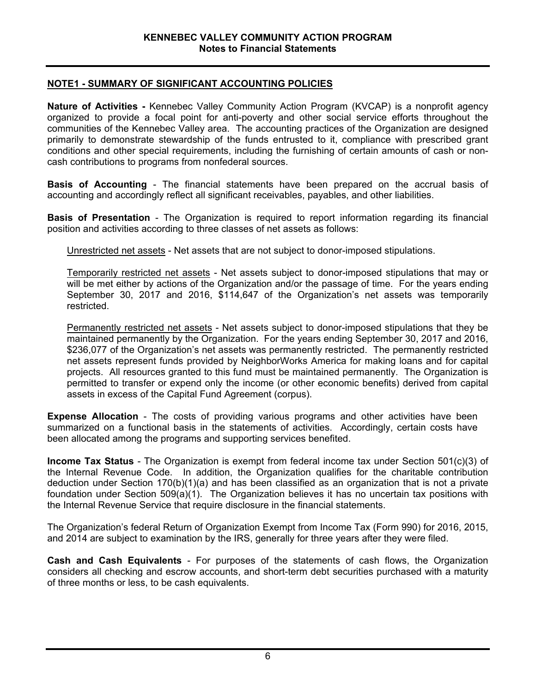# **NOTE1 - SUMMARY OF SIGNIFICANT ACCOUNTING POLICIES**

**Nature of Activities -** Kennebec Valley Community Action Program (KVCAP) is a nonprofit agency organized to provide a focal point for anti-poverty and other social service efforts throughout the communities of the Kennebec Valley area. The accounting practices of the Organization are designed primarily to demonstrate stewardship of the funds entrusted to it, compliance with prescribed grant conditions and other special requirements, including the furnishing of certain amounts of cash or noncash contributions to programs from nonfederal sources.

**Basis of Accounting** - The financial statements have been prepared on the accrual basis of accounting and accordingly reflect all significant receivables, payables, and other liabilities.

**Basis of Presentation** - The Organization is required to report information regarding its financial position and activities according to three classes of net assets as follows:

Unrestricted net assets - Net assets that are not subject to donor-imposed stipulations.

 Temporarily restricted net assets - Net assets subject to donor-imposed stipulations that may or will be met either by actions of the Organization and/or the passage of time. For the years ending September 30, 2017 and 2016, \$114,647 of the Organization's net assets was temporarily restricted.

 Permanently restricted net assets - Net assets subject to donor-imposed stipulations that they be maintained permanently by the Organization. For the years ending September 30, 2017 and 2016, \$236,077 of the Organization's net assets was permanently restricted. The permanently restricted net assets represent funds provided by NeighborWorks America for making loans and for capital projects. All resources granted to this fund must be maintained permanently. The Organization is permitted to transfer or expend only the income (or other economic benefits) derived from capital assets in excess of the Capital Fund Agreement (corpus).

**Expense Allocation** - The costs of providing various programs and other activities have been summarized on a functional basis in the statements of activities. Accordingly, certain costs have been allocated among the programs and supporting services benefited.

**Income Tax Status** - The Organization is exempt from federal income tax under Section 501(c)(3) of the Internal Revenue Code. In addition, the Organization qualifies for the charitable contribution deduction under Section 170(b)(1)(a) and has been classified as an organization that is not a private foundation under Section 509(a)(1). The Organization believes it has no uncertain tax positions with the Internal Revenue Service that require disclosure in the financial statements.

The Organization's federal Return of Organization Exempt from Income Tax (Form 990) for 2016, 2015, and 2014 are subject to examination by the IRS, generally for three years after they were filed.

**Cash and Cash Equivalents** - For purposes of the statements of cash flows, the Organization considers all checking and escrow accounts, and short-term debt securities purchased with a maturity of three months or less, to be cash equivalents.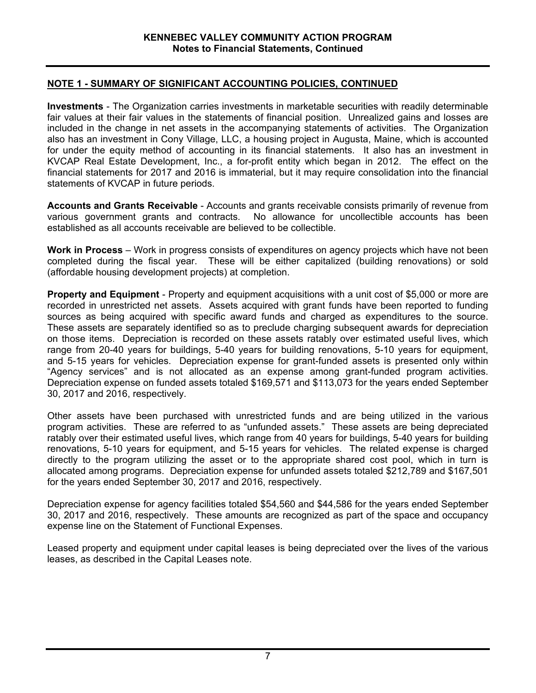# **NOTE 1 - SUMMARY OF SIGNIFICANT ACCOUNTING POLICIES, CONTINUED**

**Investments** - The Organization carries investments in marketable securities with readily determinable fair values at their fair values in the statements of financial position. Unrealized gains and losses are included in the change in net assets in the accompanying statements of activities. The Organization also has an investment in Cony Village, LLC, a housing project in Augusta, Maine, which is accounted for under the equity method of accounting in its financial statements. It also has an investment in KVCAP Real Estate Development, Inc., a for-profit entity which began in 2012. The effect on the financial statements for 2017 and 2016 is immaterial, but it may require consolidation into the financial statements of KVCAP in future periods.

**Accounts and Grants Receivable** - Accounts and grants receivable consists primarily of revenue from various government grants and contracts. No allowance for uncollectible accounts has been established as all accounts receivable are believed to be collectible.

**Work in Process** – Work in progress consists of expenditures on agency projects which have not been completed during the fiscal year. These will be either capitalized (building renovations) or sold (affordable housing development projects) at completion.

**Property and Equipment** - Property and equipment acquisitions with a unit cost of \$5,000 or more are recorded in unrestricted net assets. Assets acquired with grant funds have been reported to funding sources as being acquired with specific award funds and charged as expenditures to the source. These assets are separately identified so as to preclude charging subsequent awards for depreciation on those items. Depreciation is recorded on these assets ratably over estimated useful lives, which range from 20-40 years for buildings, 5-40 years for building renovations, 5-10 years for equipment, and 5-15 years for vehicles. Depreciation expense for grant-funded assets is presented only within "Agency services" and is not allocated as an expense among grant-funded program activities. Depreciation expense on funded assets totaled \$169,571 and \$113,073 for the years ended September 30, 2017 and 2016, respectively.

Other assets have been purchased with unrestricted funds and are being utilized in the various program activities. These are referred to as "unfunded assets." These assets are being depreciated ratably over their estimated useful lives, which range from 40 years for buildings, 5-40 years for building renovations, 5-10 years for equipment, and 5-15 years for vehicles. The related expense is charged directly to the program utilizing the asset or to the appropriate shared cost pool, which in turn is allocated among programs. Depreciation expense for unfunded assets totaled \$212,789 and \$167,501 for the years ended September 30, 2017 and 2016, respectively.

Depreciation expense for agency facilities totaled \$54,560 and \$44,586 for the years ended September 30, 2017 and 2016, respectively. These amounts are recognized as part of the space and occupancy expense line on the Statement of Functional Expenses.

Leased property and equipment under capital leases is being depreciated over the lives of the various leases, as described in the Capital Leases note.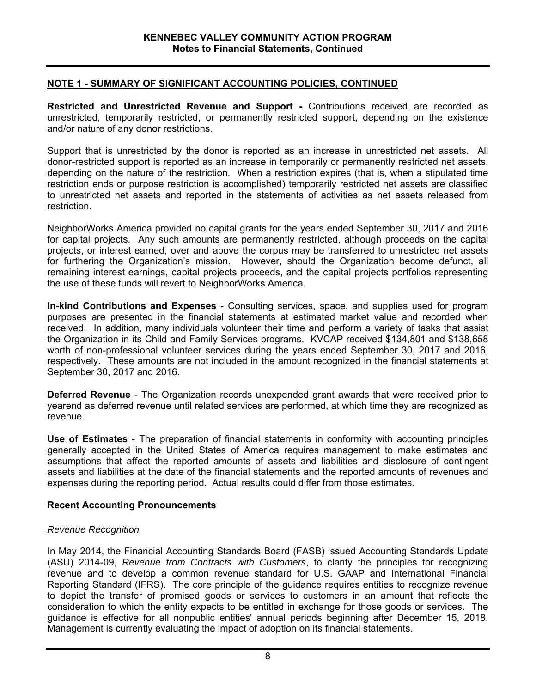# **NOTE 1 - SUMMARY OF SIGNIFICANT ACCOUNTING POLICIES, CONTINUED**

**Restricted and Unrestricted Revenue and Support -** Contributions received are recorded as unrestricted, temporarily restricted, or permanently restricted support, depending on the existence and/or nature of any donor restrictions.

Support that is unrestricted by the donor is reported as an increase in unrestricted net assets. All donor-restricted support is reported as an increase in temporarily or permanently restricted net assets, depending on the nature of the restriction. When a restriction expires (that is, when a stipulated time restriction ends or purpose restriction is accomplished) temporarily restricted net assets are classified to unrestricted net assets and reported in the statements of activities as net assets released from restriction.

NeighborWorks America provided no capital grants for the years ended September 30, 2017 and 2016 for capital projects. Any such amounts are permanently restricted, although proceeds on the capital projects, or interest earned, over and above the corpus may be transferred to unrestricted net assets for furthering the Organization's mission. However, should the Organization become defunct, all remaining interest earnings, capital projects proceeds, and the capital projects portfolios representing the use of these funds will revert to NeighborWorks America.

**In-kind Contributions and Expenses** - Consulting services, space, and supplies used for program purposes are presented in the financial statements at estimated market value and recorded when received. In addition, many individuals volunteer their time and perform a variety of tasks that assist the Organization in its Child and Family Services programs. KVCAP received \$134,801 and \$138,658 worth of non-professional volunteer services during the years ended September 30, 2017 and 2016, respectively. These amounts are not included in the amount recognized in the financial statements at September 30, 2017 and 2016.

**Deferred Revenue** - The Organization records unexpended grant awards that were received prior to yearend as deferred revenue until related services are performed, at which time they are recognized as revenue.

**Use of Estimates** - The preparation of financial statements in conformity with accounting principles generally accepted in the United States of America requires management to make estimates and assumptions that affect the reported amounts of assets and liabilities and disclosure of contingent assets and liabilities at the date of the financial statements and the reported amounts of revenues and expenses during the reporting period. Actual results could differ from those estimates.

# **Recent Accounting Pronouncements**

# *Revenue Recognition*

In May 2014, the Financial Accounting Standards Board (FASB) issued Accounting Standards Update (ASU) 2014-09, *Revenue from Contracts with Customers*, to clarify the principles for recognizing revenue and to develop a common revenue standard for U.S. GAAP and International Financial Reporting Standard (IFRS). The core principle of the guidance requires entities to recognize revenue to depict the transfer of promised goods or services to customers in an amount that reflects the consideration to which the entity expects to be entitled in exchange for those goods or services. The guidance is effective for all nonpublic entities' annual periods beginning after December 15, 2018. Management is currently evaluating the impact of adoption on its financial statements.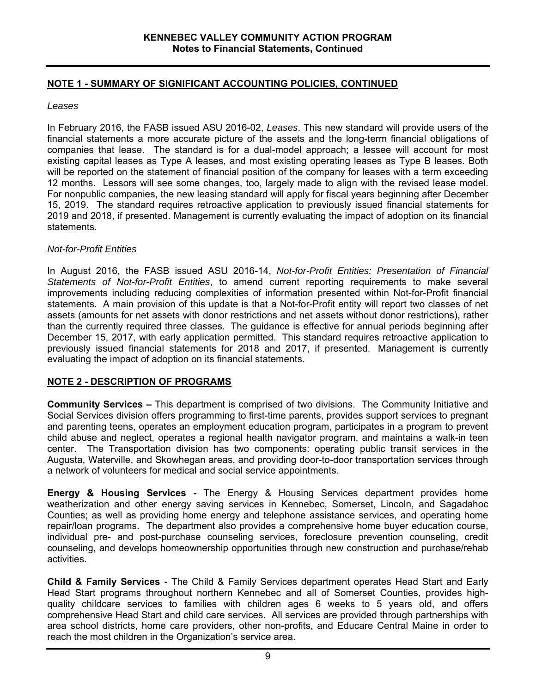# **NOTE 1 - SUMMARY OF SIGNIFICANT ACCOUNTING POLICIES, CONTINUED**

# *Leases*

In February 2016, the FASB issued ASU 2016-02, *Leases*. This new standard will provide users of the financial statements a more accurate picture of the assets and the long-term financial obligations of companies that lease. The standard is for a dual-model approach; a lessee will account for most existing capital leases as Type A leases, and most existing operating leases as Type B leases. Both will be reported on the statement of financial position of the company for leases with a term exceeding 12 months. Lessors will see some changes, too, largely made to align with the revised lease model. For nonpublic companies, the new leasing standard will apply for fiscal years beginning after December 15, 2019. The standard requires retroactive application to previously issued financial statements for 2019 and 2018, if presented. Management is currently evaluating the impact of adoption on its financial statements.

# *Not-for-Profit Entities*

In August 2016, the FASB issued ASU 2016-14, *Not-for-Profit Entities: Presentation of Financial Statements of Not-for-Profit Entities*, to amend current reporting requirements to make several improvements including reducing complexities of information presented within Not-for-Profit financial statements. A main provision of this update is that a Not-for-Profit entity will report two classes of net assets (amounts for net assets with donor restrictions and net assets without donor restrictions), rather than the currently required three classes. The guidance is effective for annual periods beginning after December 15, 2017, with early application permitted. This standard requires retroactive application to previously issued financial statements for 2018 and 2017, if presented. Management is currently evaluating the impact of adoption on its financial statements.

# **NOTE 2 - DESCRIPTION OF PROGRAMS**

**Community Services –** This department is comprised of two divisions. The Community Initiative and Social Services division offers programming to first-time parents, provides support services to pregnant and parenting teens, operates an employment education program, participates in a program to prevent child abuse and neglect, operates a regional health navigator program, and maintains a walk-in teen center. The Transportation division has two components: operating public transit services in the Augusta, Waterville, and Skowhegan areas, and providing door-to-door transportation services through a network of volunteers for medical and social service appointments.

**Energy & Housing Services -** The Energy & Housing Services department provides home weatherization and other energy saving services in Kennebec, Somerset, Lincoln, and Sagadahoc Counties; as well as providing home energy and telephone assistance services, and operating home repair/loan programs. The department also provides a comprehensive home buyer education course, individual pre- and post-purchase counseling services, foreclosure prevention counseling, credit counseling, and develops homeownership opportunities through new construction and purchase/rehab activities.

**Child & Family Services -** The Child & Family Services department operates Head Start and Early Head Start programs throughout northern Kennebec and all of Somerset Counties, provides highquality childcare services to families with children ages 6 weeks to 5 years old, and offers comprehensive Head Start and child care services. All services are provided through partnerships with area school districts, home care providers, other non-profits, and Educare Central Maine in order to reach the most children in the Organization's service area.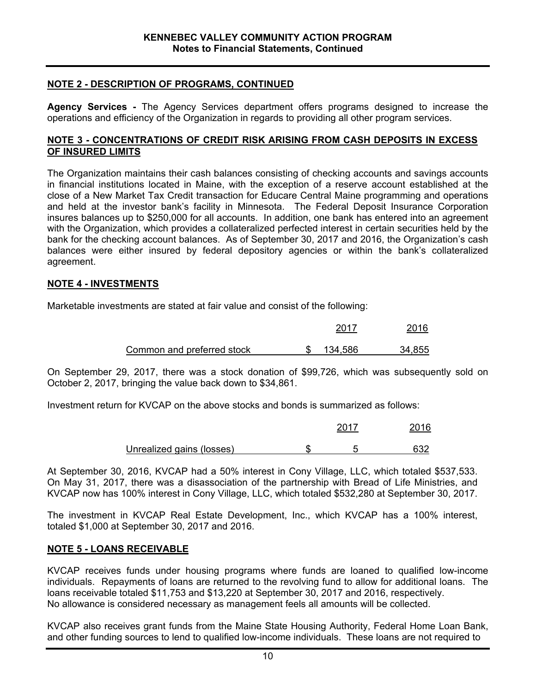# **NOTE 2 - DESCRIPTION OF PROGRAMS, CONTINUED**

**Agency Services -** The Agency Services department offers programs designed to increase the operations and efficiency of the Organization in regards to providing all other program services.

# **NOTE 3 - CONCENTRATIONS OF CREDIT RISK ARISING FROM CASH DEPOSITS IN EXCESS OF INSURED LIMITS**

The Organization maintains their cash balances consisting of checking accounts and savings accounts in financial institutions located in Maine, with the exception of a reserve account established at the close of a New Market Tax Credit transaction for Educare Central Maine programming and operations and held at the investor bank's facility in Minnesota. The Federal Deposit Insurance Corporation insures balances up to \$250,000 for all accounts. In addition, one bank has entered into an agreement with the Organization, which provides a collateralized perfected interest in certain securities held by the bank for the checking account balances. As of September 30, 2017 and 2016, the Organization's cash balances were either insured by federal depository agencies or within the bank's collateralized agreement.

# **NOTE 4 - INVESTMENTS**

Marketable investments are stated at fair value and consist of the following:

|                            | 2017    | 2016   |
|----------------------------|---------|--------|
| Common and preferred stock | 134.586 | 34,855 |

On September 29, 2017, there was a stock donation of \$99,726, which was subsequently sold on October 2, 2017, bringing the value back down to \$34,861.

Investment return for KVCAP on the above stocks and bonds is summarized as follows:

|                           | 2017 | 0016 |
|---------------------------|------|------|
| Unrealized gains (losses) |      | יפים |

At September 30, 2016, KVCAP had a 50% interest in Cony Village, LLC, which totaled \$537,533. On May 31, 2017, there was a disassociation of the partnership with Bread of Life Ministries, and KVCAP now has 100% interest in Cony Village, LLC, which totaled \$532,280 at September 30, 2017.

The investment in KVCAP Real Estate Development, Inc., which KVCAP has a 100% interest, totaled \$1,000 at September 30, 2017 and 2016.

# **NOTE 5 - LOANS RECEIVABLE**

KVCAP receives funds under housing programs where funds are loaned to qualified low-income individuals. Repayments of loans are returned to the revolving fund to allow for additional loans. The loans receivable totaled \$11,753 and \$13,220 at September 30, 2017 and 2016, respectively. No allowance is considered necessary as management feels all amounts will be collected.

KVCAP also receives grant funds from the Maine State Housing Authority, Federal Home Loan Bank, and other funding sources to lend to qualified low-income individuals. These loans are not required to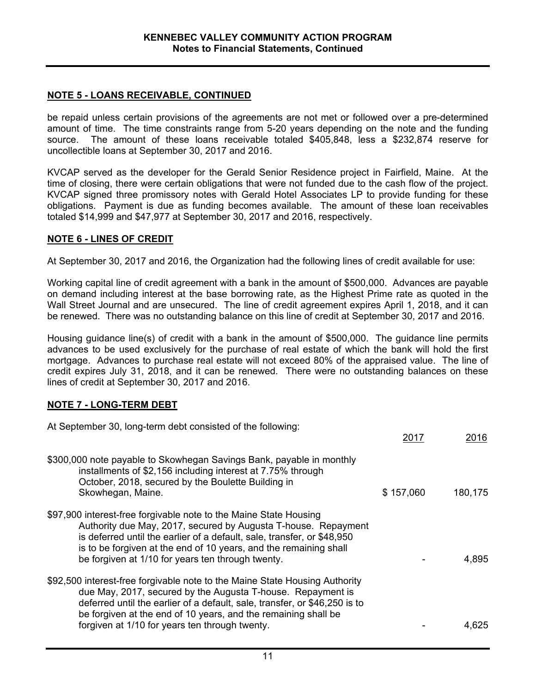# **NOTE 5 - LOANS RECEIVABLE, CONTINUED**

be repaid unless certain provisions of the agreements are not met or followed over a pre-determined amount of time. The time constraints range from 5-20 years depending on the note and the funding source. The amount of these loans receivable totaled \$405,848, less a \$232,874 reserve for uncollectible loans at September 30, 2017 and 2016.

KVCAP served as the developer for the Gerald Senior Residence project in Fairfield, Maine. At the time of closing, there were certain obligations that were not funded due to the cash flow of the project. KVCAP signed three promissory notes with Gerald Hotel Associates LP to provide funding for these obligations. Payment is due as funding becomes available. The amount of these loan receivables totaled \$14,999 and \$47,977 at September 30, 2017 and 2016, respectively.

# **NOTE 6 - LINES OF CREDIT**

At September 30, 2017 and 2016, the Organization had the following lines of credit available for use:

Working capital line of credit agreement with a bank in the amount of \$500,000. Advances are payable on demand including interest at the base borrowing rate, as the Highest Prime rate as quoted in the Wall Street Journal and are unsecured. The line of credit agreement expires April 1, 2018, and it can be renewed. There was no outstanding balance on this line of credit at September 30, 2017 and 2016.

Housing guidance line(s) of credit with a bank in the amount of \$500,000. The guidance line permits advances to be used exclusively for the purchase of real estate of which the bank will hold the first mortgage. Advances to purchase real estate will not exceed 80% of the appraised value. The line of credit expires July 31, 2018, and it can be renewed. There were no outstanding balances on these lines of credit at September 30, 2017 and 2016.

#### **NOTE 7 - LONG-TERM DEBT**

| At September 30, long-term debt consisted of the following:                                                                                                                                                                                                                                                                              | 2017      | 2016    |
|------------------------------------------------------------------------------------------------------------------------------------------------------------------------------------------------------------------------------------------------------------------------------------------------------------------------------------------|-----------|---------|
| \$300,000 note payable to Skowhegan Savings Bank, payable in monthly<br>installments of \$2,156 including interest at 7.75% through<br>October, 2018, secured by the Boulette Building in<br>Skowhegan, Maine.                                                                                                                           | \$157,060 | 180,175 |
| \$97,900 interest-free forgivable note to the Maine State Housing<br>Authority due May, 2017, secured by Augusta T-house. Repayment<br>is deferred until the earlier of a default, sale, transfer, or \$48,950<br>is to be forgiven at the end of 10 years, and the remaining shall<br>be forgiven at 1/10 for years ten through twenty. |           | 4,895   |
| \$92,500 interest-free forgivable note to the Maine State Housing Authority<br>due May, 2017, secured by the Augusta T-house. Repayment is<br>deferred until the earlier of a default, sale, transfer, or \$46,250 is to<br>be forgiven at the end of 10 years, and the remaining shall be                                               |           |         |
| forgiven at 1/10 for years ten through twenty.                                                                                                                                                                                                                                                                                           |           | 4,625   |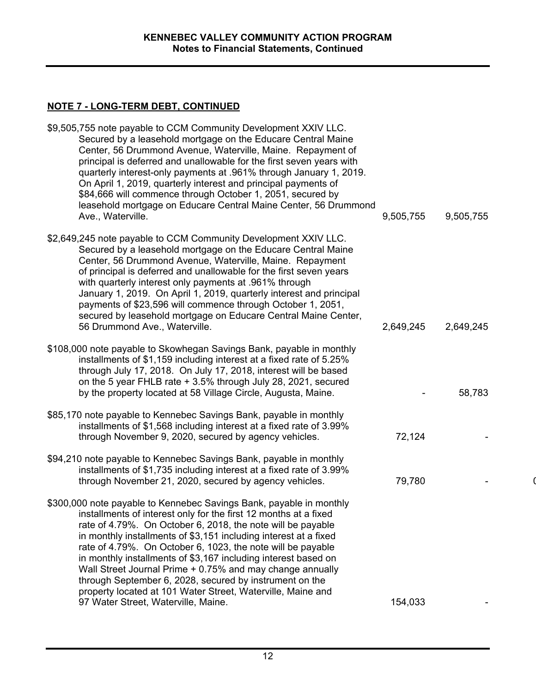# **NOTE 7 - LONG-TERM DEBT, CONTINUED**

| \$9,505,755 note payable to CCM Community Development XXIV LLC.<br>Secured by a leasehold mortgage on the Educare Central Maine<br>Center, 56 Drummond Avenue, Waterville, Maine. Repayment of<br>principal is deferred and unallowable for the first seven years with<br>quarterly interest-only payments at .961% through January 1, 2019.<br>On April 1, 2019, quarterly interest and principal payments of<br>\$84,666 will commence through October 1, 2051, secured by<br>leasehold mortgage on Educare Central Maine Center, 56 Drummond<br>Ave., Waterville.                                                                      | 9,505,755 | 9,505,755 |  |
|-------------------------------------------------------------------------------------------------------------------------------------------------------------------------------------------------------------------------------------------------------------------------------------------------------------------------------------------------------------------------------------------------------------------------------------------------------------------------------------------------------------------------------------------------------------------------------------------------------------------------------------------|-----------|-----------|--|
| \$2,649,245 note payable to CCM Community Development XXIV LLC.<br>Secured by a leasehold mortgage on the Educare Central Maine<br>Center, 56 Drummond Avenue, Waterville, Maine. Repayment<br>of principal is deferred and unallowable for the first seven years<br>with quarterly interest only payments at .961% through<br>January 1, 2019. On April 1, 2019, quarterly interest and principal<br>payments of \$23,596 will commence through October 1, 2051,<br>secured by leasehold mortgage on Educare Central Maine Center,<br>56 Drummond Ave., Waterville.                                                                      | 2,649,245 | 2,649,245 |  |
| \$108,000 note payable to Skowhegan Savings Bank, payable in monthly<br>installments of \$1,159 including interest at a fixed rate of 5.25%<br>through July 17, 2018. On July 17, 2018, interest will be based<br>on the 5 year FHLB rate + 3.5% through July 28, 2021, secured<br>by the property located at 58 Village Circle, Augusta, Maine.                                                                                                                                                                                                                                                                                          |           | 58,783    |  |
| \$85,170 note payable to Kennebec Savings Bank, payable in monthly<br>installments of \$1,568 including interest at a fixed rate of 3.99%<br>through November 9, 2020, secured by agency vehicles.                                                                                                                                                                                                                                                                                                                                                                                                                                        | 72,124    |           |  |
| \$94,210 note payable to Kennebec Savings Bank, payable in monthly<br>installments of \$1,735 including interest at a fixed rate of 3.99%<br>through November 21, 2020, secured by agency vehicles.                                                                                                                                                                                                                                                                                                                                                                                                                                       | 79,780    |           |  |
| \$300,000 note payable to Kennebec Savings Bank, payable in monthly<br>installments of interest only for the first 12 months at a fixed<br>rate of 4.79%. On October 6, 2018, the note will be payable<br>in monthly installments of \$3,151 including interest at a fixed<br>rate of 4.79%. On October 6, 1023, the note will be payable<br>in monthly installments of \$3,167 including interest based on<br>Wall Street Journal Prime + 0.75% and may change annually<br>through September 6, 2028, secured by instrument on the<br>property located at 101 Water Street, Waterville, Maine and<br>97 Water Street, Waterville, Maine. | 154,033   |           |  |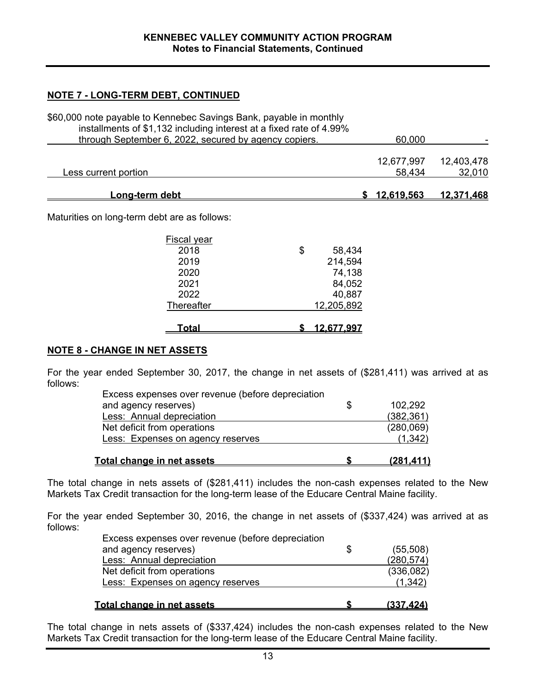# **NOTE 7 - LONG-TERM DEBT, CONTINUED**

| \$60,000 note payable to Kennebec Savings Bank, payable in monthly<br>installments of \$1,132 including interest at a fixed rate of 4.99% |              |                      |                      |
|-------------------------------------------------------------------------------------------------------------------------------------------|--------------|----------------------|----------------------|
| through September 6, 2022, secured by agency copiers.                                                                                     |              | 60,000               |                      |
| Less current portion                                                                                                                      |              | 12,677,997<br>58,434 | 12,403,478<br>32,010 |
| Lona-term debt                                                                                                                            |              | 12.619.563           | <u>12.371.468</u>    |
| Maturities on long-term debt are as follows:                                                                                              |              |                      |                      |
| Fiscal year                                                                                                                               |              |                      |                      |
| 2018                                                                                                                                      | \$<br>58,434 |                      |                      |
| 2019                                                                                                                                      | 214,594      |                      |                      |
| 2020                                                                                                                                      | 74,138       |                      |                      |
| 2021                                                                                                                                      | 84,052       |                      |                      |
| 2022                                                                                                                                      | 40,887       |                      |                      |

# Thereafter 12,205,892 **Total \$ 12,677,997**

# **NOTE 8 - CHANGE IN NET ASSETS**

For the year ended September 30, 2017, the change in net assets of (\$281,411) was arrived at as follows:

| Excess expenses over revenue (before depreciation |   |                  |
|---------------------------------------------------|---|------------------|
| and agency reserves)                              | S | 102,292          |
| Less: Annual depreciation                         |   | (382, 361)       |
| Net deficit from operations                       |   | (280,069)        |
| <b>Less: Expenses on agency reserves</b>          |   | (1, 342)         |
| Total change in net assets                        |   | <u>(281.411)</u> |

|  |  |  | The total change in nets assets of (\$281,411) includes the non-cash expenses related to the New |  |  |  |  |
|--|--|--|--------------------------------------------------------------------------------------------------|--|--|--|--|
|  |  |  | Markets Tax Credit transaction for the long-term lease of the Educare Central Maine facility.    |  |  |  |  |

For the year ended September 30, 2016, the change in net assets of (\$337,424) was arrived at as follows:

| Excess expenses over revenue (before depreciation<br>and agency reserves) | \$<br>(55,508) |
|---------------------------------------------------------------------------|----------------|
| <b>Less: Annual depreciation</b>                                          | (280, 574)     |
| Net deficit from operations                                               | (336,082)      |
| Less: Expenses on agency reserves                                         | (1, 342)       |
|                                                                           |                |
| Total change in net assets                                                | (337.424)      |

The total change in nets assets of (\$337,424) includes the non-cash expenses related to the New Markets Tax Credit transaction for the long-term lease of the Educare Central Maine facility.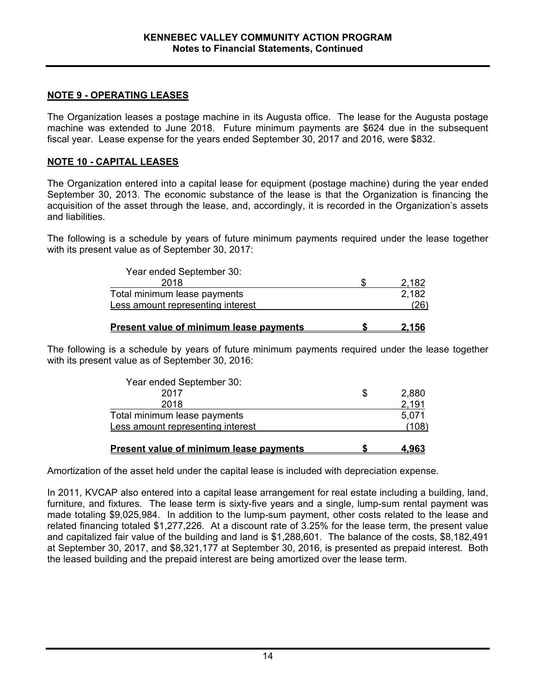# **NOTE 9 - OPERATING LEASES**

The Organization leases a postage machine in its Augusta office. The lease for the Augusta postage machine was extended to June 2018. Future minimum payments are \$624 due in the subsequent fiscal year. Lease expense for the years ended September 30, 2017 and 2016, were \$832.

# **NOTE 10 - CAPITAL LEASES**

The Organization entered into a capital lease for equipment (postage machine) during the year ended September 30, 2013. The economic substance of the lease is that the Organization is financing the acquisition of the asset through the lease, and, accordingly, it is recorded in the Organization's assets and liabilities.

The following is a schedule by years of future minimum payments required under the lease together with its present value as of September 30, 2017:

| Year ended September 30:          |       |
|-----------------------------------|-------|
| 2018                              | 2,182 |
| Total minimum lease payments      | 2,182 |
| Less amount representing interest | (26)  |
|                                   |       |

# **Present value of minimum lease payments \$ 2,156**

The following is a schedule by years of future minimum payments required under the lease together with its present value as of September 30, 2016:

| <b>Present value of minimum lease payments</b> | 4.963 |
|------------------------------------------------|-------|
| Less amount representing interest              | (108) |
| Total minimum lease payments                   | 5,071 |
| 2018                                           | 2,191 |
| 2017                                           | 2,880 |
| Year ended September 30:                       |       |

Amortization of the asset held under the capital lease is included with depreciation expense.

In 2011, KVCAP also entered into a capital lease arrangement for real estate including a building, land, furniture, and fixtures. The lease term is sixty-five years and a single, lump-sum rental payment was made totaling \$9,025,984. In addition to the lump-sum payment, other costs related to the lease and related financing totaled \$1,277,226. At a discount rate of 3.25% for the lease term, the present value and capitalized fair value of the building and land is \$1,288,601. The balance of the costs, \$8,182,491 at September 30, 2017, and \$8,321,177 at September 30, 2016, is presented as prepaid interest. Both the leased building and the prepaid interest are being amortized over the lease term.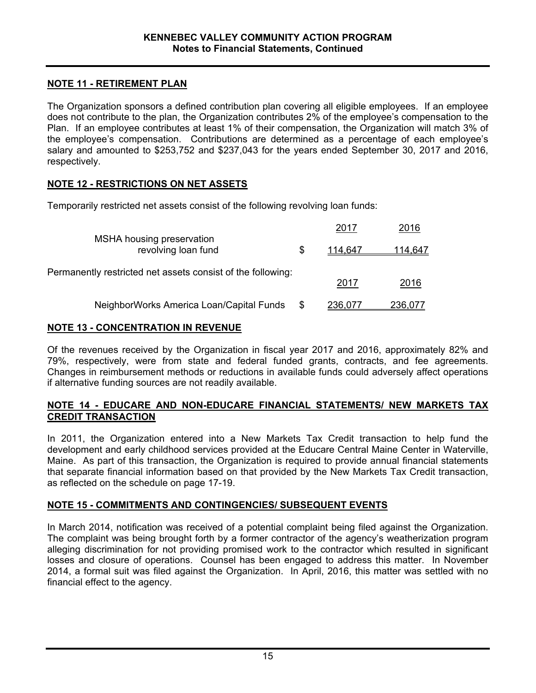# **NOTE 11 - RETIREMENT PLAN**

The Organization sponsors a defined contribution plan covering all eligible employees. If an employee does not contribute to the plan, the Organization contributes 2% of the employee's compensation to the Plan. If an employee contributes at least 1% of their compensation, the Organization will match 3% of the employee's compensation. Contributions are determined as a percentage of each employee's salary and amounted to \$253,752 and \$237,043 for the years ended September 30, 2017 and 2016, respectively.

# **NOTE 12 - RESTRICTIONS ON NET ASSETS**

Temporarily restricted net assets consist of the following revolving loan funds:

|                                                             |    | 2017           | 2016            |  |
|-------------------------------------------------------------|----|----------------|-----------------|--|
| MSHA housing preservation<br>revolving loan fund            | \$ | <u>114,647</u> | <u> 114,647</u> |  |
| Permanently restricted net assets consist of the following: |    |                |                 |  |
|                                                             |    | 2017           | 2016            |  |
| NeighborWorks America Loan/Capital Funds                    | S  | 236.077        | <u>236,07</u>   |  |

# **NOTE 13 - CONCENTRATION IN REVENUE**

Of the revenues received by the Organization in fiscal year 2017 and 2016, approximately 82% and 79%, respectively, were from state and federal funded grants, contracts, and fee agreements. Changes in reimbursement methods or reductions in available funds could adversely affect operations if alternative funding sources are not readily available.

# **NOTE 14 - EDUCARE AND NON-EDUCARE FINANCIAL STATEMENTS/ NEW MARKETS TAX CREDIT TRANSACTION**

In 2011, the Organization entered into a New Markets Tax Credit transaction to help fund the development and early childhood services provided at the Educare Central Maine Center in Waterville, Maine. As part of this transaction, the Organization is required to provide annual financial statements that separate financial information based on that provided by the New Markets Tax Credit transaction, as reflected on the schedule on page 17-19.

# **NOTE 15 - COMMITMENTS AND CONTINGENCIES/ SUBSEQUENT EVENTS**

In March 2014, notification was received of a potential complaint being filed against the Organization. The complaint was being brought forth by a former contractor of the agency's weatherization program alleging discrimination for not providing promised work to the contractor which resulted in significant losses and closure of operations. Counsel has been engaged to address this matter. In November 2014, a formal suit was filed against the Organization. In April, 2016, this matter was settled with no financial effect to the agency.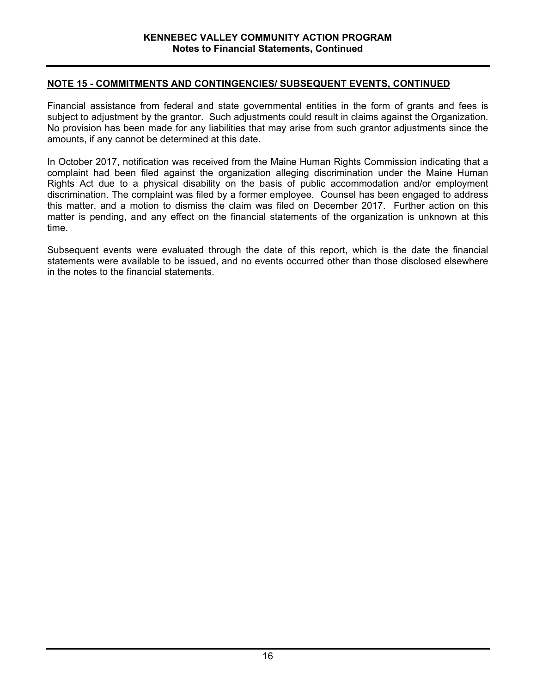# **NOTE 15 - COMMITMENTS AND CONTINGENCIES/ SUBSEQUENT EVENTS, CONTINUED**

Financial assistance from federal and state governmental entities in the form of grants and fees is subject to adjustment by the grantor. Such adjustments could result in claims against the Organization. No provision has been made for any liabilities that may arise from such grantor adjustments since the amounts, if any cannot be determined at this date.

In October 2017, notification was received from the Maine Human Rights Commission indicating that a complaint had been filed against the organization alleging discrimination under the Maine Human Rights Act due to a physical disability on the basis of public accommodation and/or employment discrimination. The complaint was filed by a former employee. Counsel has been engaged to address this matter, and a motion to dismiss the claim was filed on December 2017. Further action on this matter is pending, and any effect on the financial statements of the organization is unknown at this time.

Subsequent events were evaluated through the date of this report, which is the date the financial statements were available to be issued, and no events occurred other than those disclosed elsewhere in the notes to the financial statements.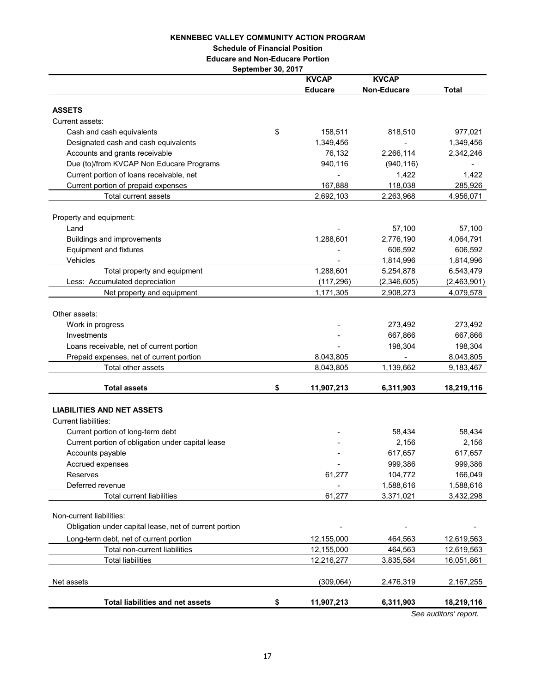# **KENNEBEC VALLEY COMMUNITY ACTION PROGRAM**

#### **Schedule of Financial Position**

**Educare and Non-Educare Portion**

**September 30, 2017**

|                                                        | <b>KVCAP</b>     | <b>KVCAP</b> |              |
|--------------------------------------------------------|------------------|--------------|--------------|
|                                                        | <b>Educare</b>   | Non-Educare  | <b>Total</b> |
|                                                        |                  |              |              |
| <b>ASSETS</b>                                          |                  |              |              |
| Current assets:                                        |                  |              |              |
| Cash and cash equivalents                              | \$<br>158,511    | 818,510      | 977,021      |
| Designated cash and cash equivalents                   | 1,349,456        | ÷,           | 1,349,456    |
| Accounts and grants receivable                         | 76,132           | 2,266,114    | 2,342,246    |
| Due (to)/from KVCAP Non Educare Programs               | 940,116          | (940, 116)   |              |
| Current portion of loans receivable, net               |                  | 1,422        | 1,422        |
| Current portion of prepaid expenses                    | 167,888          | 118,038      | 285,926      |
| <b>Total current assets</b>                            | 2,692,103        | 2,263,968    | 4,956,071    |
| Property and equipment:                                |                  |              |              |
| Land                                                   |                  | 57,100       | 57,100       |
| <b>Buildings and improvements</b>                      | 1,288,601        | 2,776,190    | 4,064,791    |
| <b>Equipment and fixtures</b>                          |                  | 606,592      | 606,592      |
| Vehicles                                               |                  |              | 1,814,996    |
|                                                        | 1,288,601        | 1,814,996    |              |
| Total property and equipment                           | (117, 296)       | 5,254,878    | 6,543,479    |
| Less: Accumulated depreciation                         | 1,171,305        | (2,346,605)  | (2,463,901)  |
| Net property and equipment                             |                  | 2,908,273    | 4,079,578    |
| Other assets:                                          |                  |              |              |
| Work in progress                                       |                  | 273,492      | 273,492      |
| Investments                                            |                  | 667,866      | 667,866      |
| Loans receivable, net of current portion               |                  | 198,304      | 198,304      |
| Prepaid expenses, net of current portion               | 8,043,805        |              | 8,043,805    |
| Total other assets                                     | 8,043,805        | 1,139,662    | 9,183,467    |
|                                                        |                  |              |              |
| <b>Total assets</b>                                    | \$<br>11,907,213 | 6,311,903    | 18,219,116   |
|                                                        |                  |              |              |
| <b>LIABILITIES AND NET ASSETS</b>                      |                  |              |              |
| <b>Current liabilities:</b>                            |                  |              |              |
| Current portion of long-term debt                      |                  | 58,434       | 58,434       |
| Current portion of obligation under capital lease      |                  | 2,156        | 2,156        |
| Accounts payable                                       |                  | 617,657      | 617,657      |
| Accrued expenses                                       |                  | 999,386      | 999,386      |
| Reserves                                               | 61,277           | 104,772      | 166,049      |
| Deferred revenue                                       |                  | 1,588,616    | 1,588,616    |
| <b>Total current liabilities</b>                       | 61,277           | 3,371,021    | 3,432,298    |
| Non-current liabilities:                               |                  |              |              |
| Obligation under capital lease, net of current portion |                  |              |              |
|                                                        |                  |              |              |
| Long-term debt, net of current portion                 | 12,155,000       | 464,563      | 12,619,563   |
| Total non-current liabilities                          | 12,155,000       | 464,563      | 12,619,563   |
| <b>Total liabilities</b>                               | 12,216,277       | 3,835,584    | 16,051,861   |
|                                                        |                  |              |              |
| Net assets                                             | (309,064)        | 2,476,319    | 2,167,255    |
| <b>Total liabilities and net assets</b>                | \$<br>11,907,213 | 6,311,903    | 18,219,116   |
|                                                        |                  |              |              |

*See auditors' report.*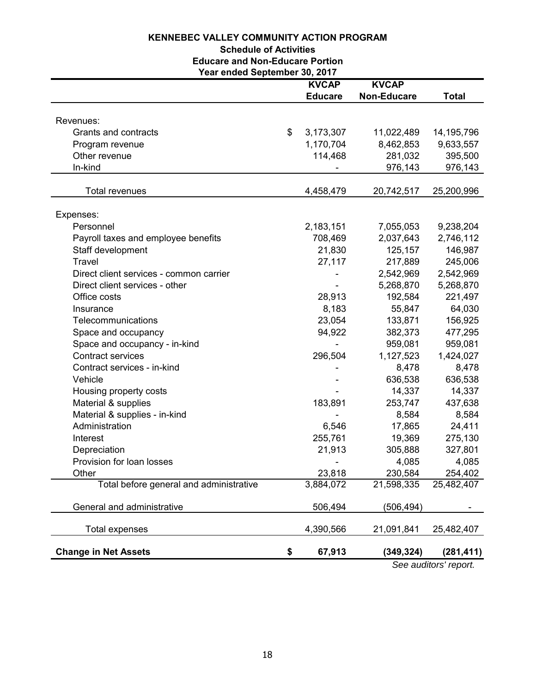# **KENNEBEC VALLEY COMMUNITY ACTION PROGRAM**

# **Schedule of Activities**

**Year ended September 30, 2017 Educare and Non-Educare Portion**

| rear ended beptember ov, zu m           | <b>KVCAP</b>    | <b>KVCAP</b>       |              |
|-----------------------------------------|-----------------|--------------------|--------------|
|                                         | <b>Educare</b>  | <b>Non-Educare</b> | <b>Total</b> |
|                                         |                 |                    |              |
| Revenues:                               |                 |                    |              |
| Grants and contracts                    | \$<br>3,173,307 | 11,022,489         | 14,195,796   |
| Program revenue                         | 1,170,704       | 8,462,853          | 9,633,557    |
| Other revenue                           | 114,468         | 281,032            | 395,500      |
| In-kind                                 |                 | 976,143            | 976,143      |
|                                         |                 |                    |              |
| <b>Total revenues</b>                   | 4,458,479       | 20,742,517         | 25,200,996   |
| Expenses:                               |                 |                    |              |
| Personnel                               | 2,183,151       | 7,055,053          | 9,238,204    |
| Payroll taxes and employee benefits     | 708,469         | 2,037,643          | 2,746,112    |
| Staff development                       | 21,830          | 125,157            | 146,987      |
| Travel                                  | 27,117          | 217,889            | 245,006      |
| Direct client services - common carrier |                 | 2,542,969          | 2,542,969    |
| Direct client services - other          |                 | 5,268,870          | 5,268,870    |
| Office costs                            | 28,913          | 192,584            | 221,497      |
| Insurance                               | 8,183           | 55,847             | 64,030       |
| Telecommunications                      | 23,054          | 133,871            | 156,925      |
| Space and occupancy                     | 94,922          | 382,373            | 477,295      |
| Space and occupancy - in-kind           |                 | 959,081            | 959,081      |
| <b>Contract services</b>                | 296,504         | 1,127,523          | 1,424,027    |
| Contract services - in-kind             |                 | 8,478              | 8,478        |
| Vehicle                                 |                 | 636,538            | 636,538      |
| Housing property costs                  |                 | 14,337             | 14,337       |
| Material & supplies                     | 183,891         | 253,747            | 437,638      |
| Material & supplies - in-kind           |                 | 8,584              | 8,584        |
| Administration                          | 6,546           | 17,865             | 24,411       |
| Interest                                | 255,761         | 19,369             | 275,130      |
| Depreciation                            | 21,913          | 305,888            | 327,801      |
| Provision for loan losses               |                 | 4,085              | 4,085        |
| Other                                   | 23,818          | 230,584            | 254,402      |
| Total before general and administrative | 3,884,072       | 21,598,335         | 25,482,407   |
| General and administrative              | 506,494         | (506, 494)         |              |
| <b>Total expenses</b>                   | 4,390,566       | 21,091,841         | 25,482,407   |
| <b>Change in Net Assets</b>             | \$<br>67,913    | (349, 324)         | (281, 411)   |
|                                         |                 |                    |              |

*See auditors' report.*